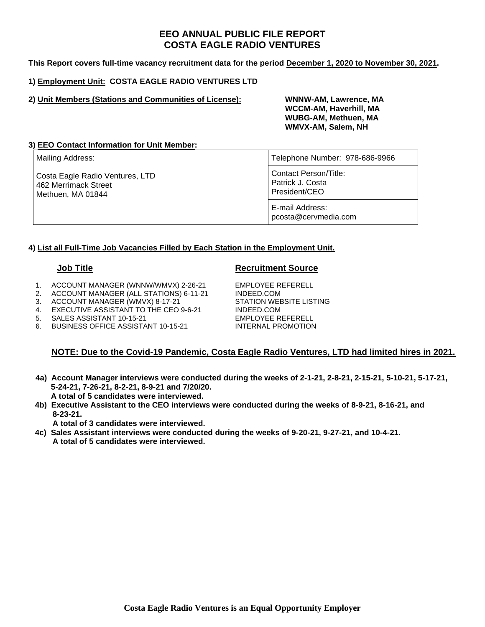# **EEO ANNUAL PUBLIC FILE REPORT COSTA EAGLE RADIO VENTURES**

**This Report covers full-time vacancy recruitment data for the period December 1, 2020 to November 30, 2021.** 

## **1) Employment Unit: COSTA EAGLE RADIO VENTURES LTD**

## **2) Unit Members (Stations and Communities of License): WNNW-AM, Lawrence, MA**

 **WCCM-AM, Haverhill, MA WUBG-AM, Methuen, MA WMVX-AM, Salem, NH** 

## **3) EEO Contact Information for Unit Member:**

| Mailing Address:                                                             | Telephone Number: 978-686-9966                             |  |  |
|------------------------------------------------------------------------------|------------------------------------------------------------|--|--|
| Costa Eagle Radio Ventures, LTD<br>462 Merrimack Street<br>Methuen, MA 01844 | Contact Person/Title:<br>Patrick J. Costa<br>President/CEO |  |  |
|                                                                              | E-mail Address:<br>pcosta@cervmedia.com                    |  |  |

## **4) List all Full-Time Job Vacancies Filled by Each Station in the Employment Unit.**

## **Job Title Contract Contract Contract Contract Contract Contract Contract Contract Contract Contract Contract Contract Contract Contract Contract Contract Contract Contract Contract Contract Contract Contract Contract Con**

- 1. ACCOUNT MANAGER (WNNW/WMVX) 2-26-21 EMPLOYEE REFERELL
- 2. ACCOUNT MANAGER (ALL STATIONS) 6-11-21 INDEED.COM
- 3. ACCOUNT MANAGER (WMVX) 8-17-21 STATION WEBSITE LISTING
- 4. EXECUTIVE ASSISTANT TO THE CEO 9-6-21 INDEED.COM
- 5. SALES ASSISTANT 10-15-21 EMPLOYEE REFERELL
- 6. BUSINESS OFFICE ASSISTANT 10-15-21 INTERNAL PROMOTION

## **NOTE: Due to the Covid-19 Pandemic, Costa Eagle Radio Ventures, LTD had limited hires in 2021.**

- **4a) Account Manager interviews were conducted during the weeks of 2-1-21, 2-8-21, 2-15-21, 5-10-21, 5-17-21, 5-24-21, 7-26-21, 8-2-21, 8-9-21 and 7/20/20. A total of 5 candidates were interviewed.**
- **4b) Executive Assistant to the CEO interviews were conducted during the weeks of 8-9-21, 8-16-21, and 8-23-21.**

 **A total of 3 candidates were interviewed.** 

 **4c) Sales Assistant interviews were conducted during the weeks of 9-20-21, 9-27-21, and 10-4-21. A total of 5 candidates were interviewed.**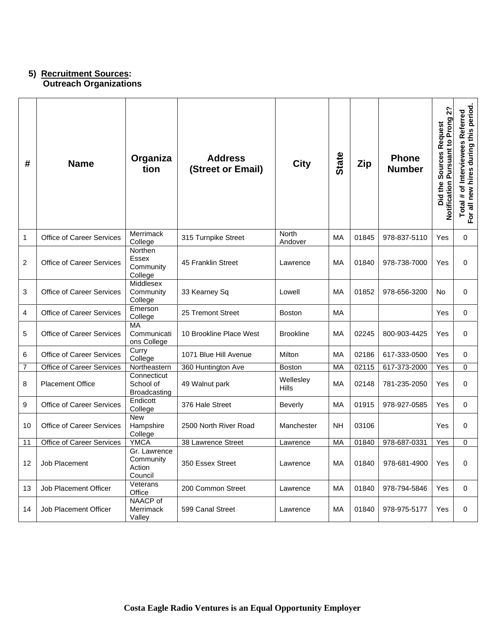## **5) Recruitment Sources: Outreach Organizations**

| #              | <b>Name</b>                      | Organiza<br>tion                               | <b>Address</b><br>(Street or Email) | <b>City</b>               | <b>State</b> | Zip   | <b>Phone</b><br><b>Number</b> | 2 <sup>2</sup><br><b>Pursuant to Prong</b><br>Request<br><b>Sources</b><br>Notification<br>the<br>Did - | Total # of Interviewees Referred<br>For all new hires during this period. |
|----------------|----------------------------------|------------------------------------------------|-------------------------------------|---------------------------|--------------|-------|-------------------------------|---------------------------------------------------------------------------------------------------------|---------------------------------------------------------------------------|
| 1              | <b>Office of Career Services</b> | Merrimack<br>College                           | 315 Turnpike Street                 | <b>North</b><br>Andover   | MA           | 01845 | 978-837-5110                  | Yes                                                                                                     | 0                                                                         |
| 2              | Office of Career Services        | Northen<br>Essex<br>Community<br>College       | 45 Franklin Street                  | Lawrence                  | МA           | 01840 | 978-738-7000                  | Yes                                                                                                     | 0                                                                         |
| 3              | <b>Office of Career Services</b> | Middlesex<br>Community<br>College              | 33 Kearney Sq                       | Lowell                    | MA           | 01852 | 978-656-3200                  | No                                                                                                      | 0                                                                         |
| 4              | Office of Career Services        | Emerson<br>College                             | 25 Tremont Street                   | <b>Boston</b>             | МA           |       |                               | Yes                                                                                                     | 0                                                                         |
| 5              | Office of Career Services        | <b>MA</b><br>Communicati<br>ons College        | 10 Brookline Place West             | <b>Brookline</b>          | МA           | 02245 | 800-903-4425                  | Yes                                                                                                     | 0                                                                         |
| 6              | <b>Office of Career Services</b> | Curry<br>College                               | 1071 Blue Hill Avenue               | Milton                    | MA           | 02186 | 617-333-0500                  | Yes                                                                                                     | 0                                                                         |
| $\overline{7}$ | Office of Career Services        | Northeastern                                   | 360 Huntington Ave                  | <b>Boston</b>             | MA           | 02115 | 617-373-2000                  | Yes                                                                                                     | 0                                                                         |
| 8              | <b>Placement Office</b>          | Connecticut<br>School of<br>Broadcasting       | 49 Walnut park                      | Wellesley<br><b>Hills</b> | MA           | 02148 | 781-235-2050                  | Yes                                                                                                     | 0                                                                         |
| 9              | Office of Career Services        | Endicott<br>College                            | 376 Hale Street                     | <b>Beverly</b>            | МA           | 01915 | 978-927-0585                  | Yes                                                                                                     | 0                                                                         |
| 10             | Office of Career Services        | <b>New</b><br>Hampshire<br>College             | 2500 North River Road               | Manchester                | <b>NH</b>    | 03106 |                               | Yes                                                                                                     | 0                                                                         |
| 11             | <b>Office of Career Services</b> | <b>YMCA</b>                                    | 38 Lawrence Street                  | Lawrence                  | MA           | 01840 | 978-687-0331                  | Yes                                                                                                     | 0                                                                         |
| 12             | Job Placement                    | Gr. Lawrence<br>Community<br>Action<br>Council | 350 Essex Street                    | Lawrence                  | MA           | 01840 | 978-681-4900                  | Yes                                                                                                     | 0                                                                         |
| 13             | Job Placement Officer            | Veterans<br>Office                             | 200 Common Street                   | Lawrence                  | MA           | 01840 | 978-794-5846                  | Yes                                                                                                     | 0                                                                         |
| 14             | Job Placement Officer            | NAACP of<br>Merrimack<br>Valley                | 599 Canal Street                    | Lawrence                  | МA           | 01840 | 978-975-5177                  | Yes                                                                                                     | 0                                                                         |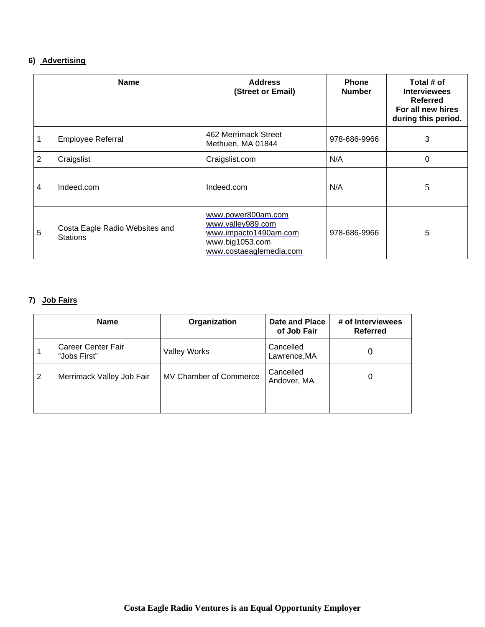# **6) Advertising**

|   | <b>Name</b>                                       | <b>Address</b><br>(Street or Email)                                                                            | <b>Phone</b><br><b>Number</b> | Total # of<br><b>Interviewees</b><br><b>Referred</b><br>For all new hires<br>during this period. |
|---|---------------------------------------------------|----------------------------------------------------------------------------------------------------------------|-------------------------------|--------------------------------------------------------------------------------------------------|
|   | Employee Referral                                 | 462 Merrimack Street<br>Methuen, MA 01844                                                                      | 978-686-9966                  | 3                                                                                                |
| 2 | Craigslist                                        | Craigslist.com                                                                                                 | N/A                           | 0                                                                                                |
| 4 | Indeed.com                                        | Indeed.com                                                                                                     | N/A                           | 5                                                                                                |
| 5 | Costa Eagle Radio Websites and<br><b>Stations</b> | www.power800am.com<br>www.valley989.com<br>www.impacto1490am.com<br>www.big1053.com<br>www.costaeaglemedia.com | 978-686-9966                  | 5                                                                                                |

# **7) Job Fairs**

|   | <b>Name</b>                        | Organization           | Date and Place<br>of Job Fair | # of Interviewees<br><b>Referred</b> |
|---|------------------------------------|------------------------|-------------------------------|--------------------------------------|
|   | Career Center Fair<br>"Jobs First" | <b>Valley Works</b>    | Cancelled<br>Lawrence, MA     |                                      |
| 2 | Merrimack Valley Job Fair          | MV Chamber of Commerce | Cancelled<br>Andover, MA      | 0                                    |
|   |                                    |                        |                               |                                      |